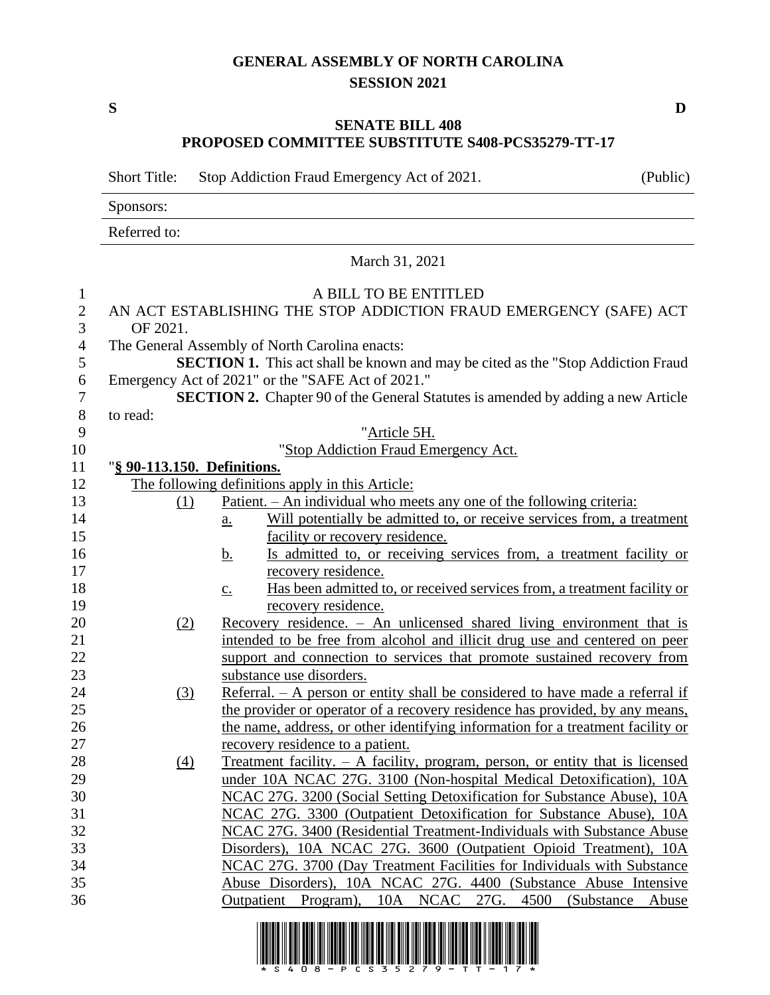## **GENERAL ASSEMBLY OF NORTH CAROLINA SESSION 2021**

## **SENATE BILL 408 PROPOSED COMMITTEE SUBSTITUTE S408-PCS35279-TT-17**

Short Title: Stop Addiction Fraud Emergency Act of 2021. (Public)

Sponsors:

Referred to:

March 31, 2021

| $\mathbf{1}$   | A BILL TO BE ENTITLED                                                                   |                                                                                               |  |  |  |  |
|----------------|-----------------------------------------------------------------------------------------|-----------------------------------------------------------------------------------------------|--|--|--|--|
| $\overline{2}$ | AN ACT ESTABLISHING THE STOP ADDICTION FRAUD EMERGENCY (SAFE) ACT                       |                                                                                               |  |  |  |  |
| $\overline{3}$ | OF 2021.                                                                                |                                                                                               |  |  |  |  |
| $\overline{4}$ | The General Assembly of North Carolina enacts:                                          |                                                                                               |  |  |  |  |
| 5              | SECTION 1. This act shall be known and may be cited as the "Stop Addiction Fraud        |                                                                                               |  |  |  |  |
| 6              | Emergency Act of 2021" or the "SAFE Act of 2021."                                       |                                                                                               |  |  |  |  |
| $\overline{7}$ | <b>SECTION 2.</b> Chapter 90 of the General Statutes is amended by adding a new Article |                                                                                               |  |  |  |  |
| $8\,$          | to read:                                                                                |                                                                                               |  |  |  |  |
| 9              |                                                                                         | "Article 5H.                                                                                  |  |  |  |  |
| 10             |                                                                                         | "Stop Addiction Fraud Emergency Act.                                                          |  |  |  |  |
| 11             | "§ 90-113.150. Definitions.                                                             |                                                                                               |  |  |  |  |
| 12             |                                                                                         | The following definitions apply in this Article:                                              |  |  |  |  |
| 13             | (1)                                                                                     | <u>Patient. – An individual who meets any one of the following criteria:</u>                  |  |  |  |  |
| 14             |                                                                                         | Will potentially be admitted to, or receive services from, a treatment<br>$\underline{a}$ .   |  |  |  |  |
| 15             |                                                                                         | facility or recovery residence.                                                               |  |  |  |  |
| 16             |                                                                                         | Is admitted to, or receiving services from, a treatment facility or<br><u>b.</u>              |  |  |  |  |
| 17             |                                                                                         | recovery residence.                                                                           |  |  |  |  |
| 18             |                                                                                         | Has been admitted to, or received services from, a treatment facility or<br>$\underline{c}$ . |  |  |  |  |
| 19             |                                                                                         | recovery residence.                                                                           |  |  |  |  |
| 20             | (2)                                                                                     | Recovery residence. - An unlicensed shared living environment that is                         |  |  |  |  |
| 21             |                                                                                         | intended to be free from alcohol and illicit drug use and centered on peer                    |  |  |  |  |
| 22             |                                                                                         | support and connection to services that promote sustained recovery from                       |  |  |  |  |
| 23             |                                                                                         | substance use disorders.                                                                      |  |  |  |  |
| 24             | (3)                                                                                     | Referral. - A person or entity shall be considered to have made a referral if                 |  |  |  |  |
| 25             |                                                                                         | the provider or operator of a recovery residence has provided, by any means,                  |  |  |  |  |
| 26             |                                                                                         | the name, address, or other identifying information for a treatment facility or               |  |  |  |  |
| 27             |                                                                                         | recovery residence to a patient.                                                              |  |  |  |  |
| 28             | (4)                                                                                     | Treatment facility. - A facility, program, person, or entity that is licensed                 |  |  |  |  |
| 29             |                                                                                         | under 10A NCAC 27G. 3100 (Non-hospital Medical Detoxification), 10A                           |  |  |  |  |
| 30             |                                                                                         | NCAC 27G. 3200 (Social Setting Detoxification for Substance Abuse), 10A                       |  |  |  |  |
| 31             | NCAC 27G. 3300 (Outpatient Detoxification for Substance Abuse), 10A                     |                                                                                               |  |  |  |  |
| 32             |                                                                                         | NCAC 27G. 3400 (Residential Treatment-Individuals with Substance Abuse                        |  |  |  |  |
| 33             |                                                                                         | Disorders), 10A NCAC 27G. 3600 (Outpatient Opioid Treatment), 10A                             |  |  |  |  |
| 34             | NCAC 27G. 3700 (Day Treatment Facilities for Individuals with Substance                 |                                                                                               |  |  |  |  |
| 35             |                                                                                         | Abuse Disorders), 10A NCAC 27G. 4400 (Substance Abuse Intensive                               |  |  |  |  |
| 36             |                                                                                         | Outpatient Program), 10A NCAC 27G. 4500 (Substance<br>Abuse                                   |  |  |  |  |
|                |                                                                                         |                                                                                               |  |  |  |  |



**S D**